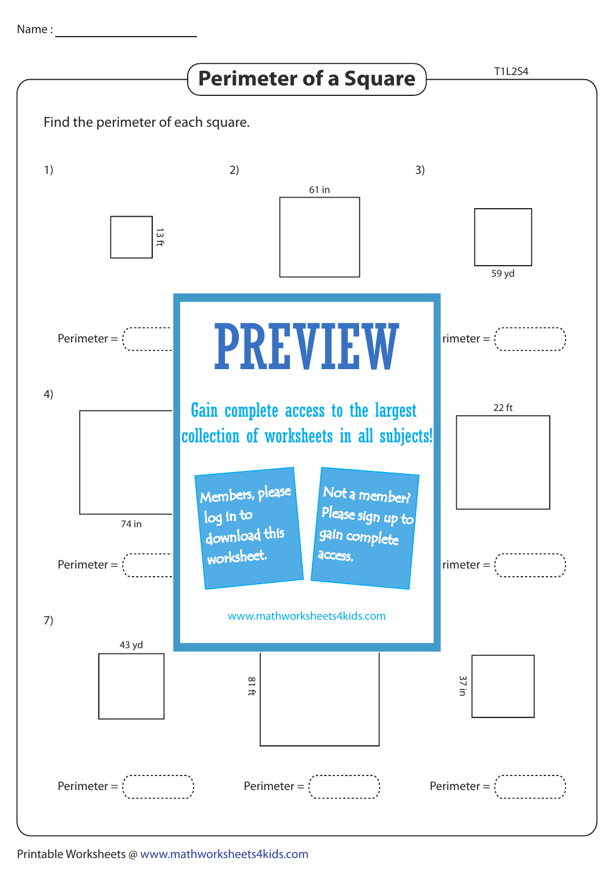